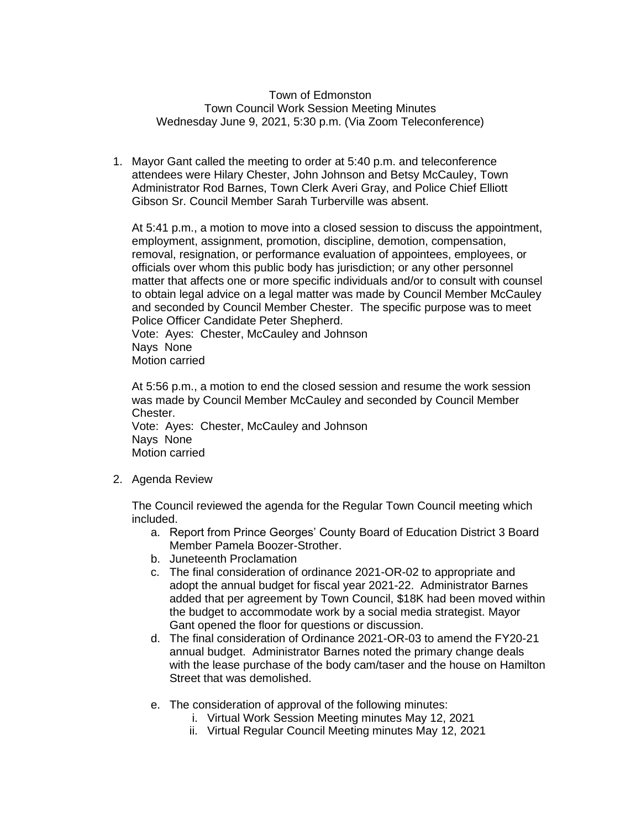## Town of Edmonston Town Council Work Session Meeting Minutes Wednesday June 9, 2021, 5:30 p.m. (Via Zoom Teleconference)

1. Mayor Gant called the meeting to order at 5:40 p.m. and teleconference attendees were Hilary Chester, John Johnson and Betsy McCauley, Town Administrator Rod Barnes, Town Clerk Averi Gray, and Police Chief Elliott Gibson Sr. Council Member Sarah Turberville was absent.

At 5:41 p.m., a motion to move into a closed session to discuss the appointment, employment, assignment, promotion, discipline, demotion, compensation, removal, resignation, or performance evaluation of appointees, employees, or officials over whom this public body has jurisdiction; or any other personnel matter that affects one or more specific individuals and/or to consult with counsel to obtain legal advice on a legal matter was made by Council Member McCauley and seconded by Council Member Chester. The specific purpose was to meet Police Officer Candidate Peter Shepherd.

Vote: Ayes: Chester, McCauley and Johnson Nays None Motion carried

At 5:56 p.m., a motion to end the closed session and resume the work session was made by Council Member McCauley and seconded by Council Member Chester. Vote: Ayes: Chester, McCauley and Johnson Nays None Motion carried

2. Agenda Review

The Council reviewed the agenda for the Regular Town Council meeting which included.

- a. Report from Prince Georges' County Board of Education District 3 Board Member Pamela Boozer-Strother.
- b. Juneteenth Proclamation
- c. The final consideration of ordinance 2021-OR-02 to appropriate and adopt the annual budget for fiscal year 2021-22. Administrator Barnes added that per agreement by Town Council, \$18K had been moved within the budget to accommodate work by a social media strategist. Mayor Gant opened the floor for questions or discussion.
- d. The final consideration of Ordinance 2021-OR-03 to amend the FY20-21 annual budget. Administrator Barnes noted the primary change deals with the lease purchase of the body cam/taser and the house on Hamilton Street that was demolished.
- e. The consideration of approval of the following minutes:
	- i. Virtual Work Session Meeting minutes May 12, 2021
	- ii. Virtual Regular Council Meeting minutes May 12, 2021